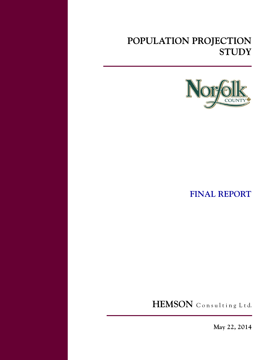# **POPULATION PROJECTION STUDY**



**FINAL REPORT**

HEMSON Consulting Ltd.

**May 22, 2014**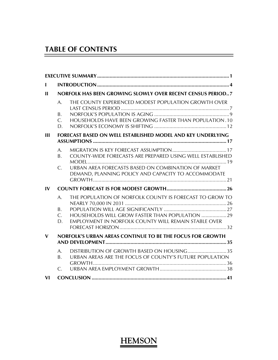# **TABLE OF CONTENTS**

|                 | NORFOLK HAS BEEN GROWING SLOWLY OVER RECENT CENSUS PERIOD7                                                 |
|-----------------|------------------------------------------------------------------------------------------------------------|
| A.              | THE COUNTY EXPERIENCED MODEST POPULATION GROWTH OVER                                                       |
| B.              |                                                                                                            |
| D.              | HOUSEHOLDS HAVE BEEN GROWING FASTER THAN POPULATION.10                                                     |
|                 | FORECAST BASED ON WELL ESTABLISHED MODEL AND KEY UNDERLYING                                                |
|                 |                                                                                                            |
| А.<br>B.        | COUNTY-WIDE FORECASTS ARE PREPARED USING WELL ESTABLISHED                                                  |
| $\mathsf{C}$ .  | URBAN AREA FORECASTS BASED ON COMBINATION OF MARKET<br>DEMAND, PLANNING POLICY AND CAPACITY TO ACCOMMODATE |
|                 |                                                                                                            |
|                 |                                                                                                            |
| A.              | THE POPULATION OF NORFOLK COUNTY IS FORECAST TO GROW TO                                                    |
| Β.              |                                                                                                            |
|                 | HOUSEHOLDS WILL GROW FASTER THAN POPULATION  29                                                            |
|                 | EMPLOYMENT IN NORFOLK COUNTY WILL REMAIN STABLE OVER                                                       |
|                 | <b>NORFOLK'S URBAN AREAS CONTINUE TO BE THE FOCUS FOR GROWTH</b>                                           |
|                 |                                                                                                            |
|                 | DISTRIBUTION OF GROWTH BASED ON HOUSING35                                                                  |
| B.              | URBAN AREAS ARE THE FOCUS OF COUNTY'S FUTURE POPULATION                                                    |
| $\mathcal{C}$ . |                                                                                                            |
|                 |                                                                                                            |
|                 | $C_{\cdot}$<br>C.<br>D.<br>A.                                                                              |

 $\overline{a}$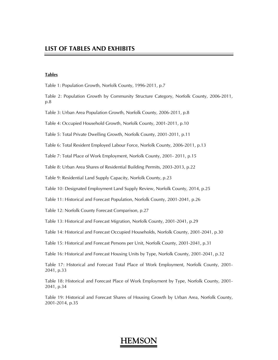#### **Tables**

Table 1: Population Growth, Norfolk County, 1996-2011, p.7

Table 2: Population Growth by Community Structure Category, Norfolk County, 2006-2011, p.8

Table 3: Urban Area Population Growth, Norfolk County, 2006-2011, p.8

Table 4: Occupied Household Growth, Norfolk County, 2001-2011, p.10

Table 5: Total Private Dwelling Growth, Norfolk County, 2001-2011, p.11

Table 6: Total Resident Employed Labour Force, Norfolk County, 2006-2011, p.13

Table 7: Total Place of Work Employment, Norfolk County, 2001- 2011, p.15

Table 8: Urban Area Shares of Residential Building Permits, 2003-2013, p.22

Table 9: Residential Land Supply Capacity, Norfolk County, p.23

Table 10: Designated Employment Land Supply Review, Norfolk County, 2014, p.25

Table 11: Historical and Forecast Population, Norfolk County, 2001-2041, p.26

Table 12: Norfolk County Forecast Comparison, p.27

Table 13: Historical and Forecast Migration, Norfolk County, 2001-2041, p.29

Table 14: Historical and Forecast Occupied Households, Norfolk County, 2001-2041, p.30

Table 15: Historical and Forecast Persons per Unit, Norfolk County, 2001-2041, p.31

Table 16: Historical and Forecast Housing Units by Type, Norfolk County, 2001-2041, p.32

Table 17: Historical and Forecast Total Place of Work Employment, Norfolk County, 2001- 2041, p.33

Table 18: Historical and Forecast Place of Work Employment by Type, Norfolk County, 2001- 2041, p.34

Table 19: Historical and Forecast Shares of Housing Growth by Urban Area, Norfolk County, 2001-2014, p.35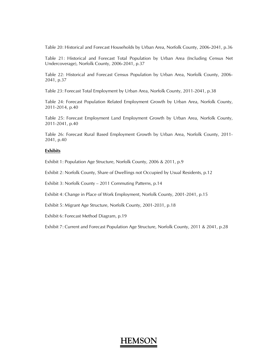Table 20: Historical and Forecast Households by Urban Area, Norfolk County, 2006-2041, p.36

Table 21: Historical and Forecast Total Population by Urban Area (Including Census Net Undercoverage), Norfolk County, 2006-2041, p.37

Table 22: Historical and Forecast Census Population by Urban Area, Norfolk County, 2006- 2041, p.37

Table 23: Forecast Total Employment by Urban Area, Norfolk County, 2011-2041, p.38

Table 24: Forecast Population Related Employment Growth by Urban Area, Norfolk County, 2011-2014, p.40

Table 25: Forecast Employment Land Employment Growth by Urban Area, Norfolk County, 2011-2041, p.40

Table 26: Forecast Rural Based Employment Growth by Urban Area, Norfolk County, 2011- 2041, p.40

#### **Exhibits**

Exhibit 1: Population Age Structure, Norfolk County, 2006 & 2011, p.9

Exhibit 2: Norfolk County, Share of Dwellings not Occupied by Usual Residents, p.12

Exhibit 3: Norfolk County – 2011 Commuting Patterns, p.14

Exhibit 4: Change in Place of Work Employment, Norfolk County, 2001-2041, p.15

Exhibit 5: Migrant Age Structure, Norfolk County, 2001-2031, p.18

Exhibit 6: Forecast Method Diagram, p.19

Exhibit 7: Current and Forecast Population Age Structure, Norfolk County, 2011 & 2041, p.28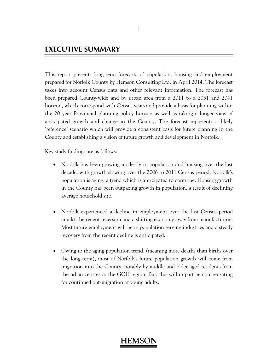### **EXECUTIVE SUMMARY**

This report presents long-term forecasts of population, housing and employment prepared for Norfolk County by Hemson Consulting Ltd. in April 2014. The forecast takes into account Census data and other relevant information. The forecast has been prepared County-wide and by urban area from a 2011 to a 2031 and 2041 horizon, which correspond with Census years and provide a basis for planning within the 20 year Provincial planning policy horizon as well as taking a longer view of anticipated growth and change in the County. The forecast represents a likely 'reference' scenario which will provide a consistent basis for future planning in the County and establishing a vision of future growth and development in Norfolk.

Key study findings are as follows:

- Norfolk has been growing modestly in population and housing over the last decade, with growth slowing over the 2006 to 2011 Census period. Norfolk's population is aging, a trend which is anticipated to continue. Housing growth in the County has been outpacing growth in population, a result of declining average household size.
- Norfolk experienced a decline in employment over the last Census period amidst the recent recession and a shifting economy away from manufacturing. Most future employment will be in population serving industries and a steady recovery from the recent decline is anticipated.
- Owing to the aging population trend, (meaning more deaths than births over the long-term), most of Norfolk's future population growth will come from migration into the County, notably by middle and older aged residents from the urban centres in the GGH region. But, this will in part be compensating for continued out-migration of young adults.

#### 1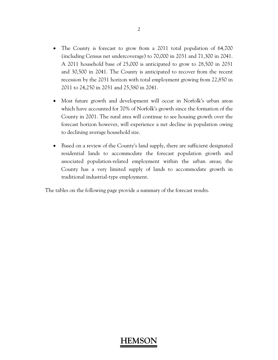- The County is forecast to grow from a 2011 total population of 64,700 (including Census net undercoverage) to 70,000 in 2031 and 71,300 in 2041. A 2011 household base of 25,000 is anticipated to grow to 28,500 in 2031 and 30,500 in 2041. The County is anticipated to recover from the recent recession by the 2031 horizon with total employment growing from 22,850 in 2011 to 24,250 in 2031 and 25,580 in 2041.
- Most future growth and development will occur in Norfolk's urban areas which have accounted for 70% of Norfolk's growth since the formation of the County in 2001. The rural area will continue to see housing growth over the forecast horizon however, will experience a net decline in population owing to declining average household size.
- Based on a review of the County's land supply, there are sufficient designated residential lands to accommodate the forecast population growth and associated population-related employment within the urban areas; the County has a very limited supply of lands to accommodate growth in traditional industrial-type employment.

The tables on the following page provide a summary of the forecast results.

#### 2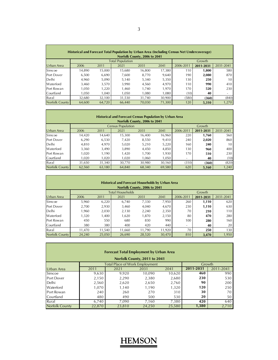| Historical and Forecast Total Population by Urban Area (Including Census Net Undercoverage)<br>Norfolk County, 2006 to 2041 |        |        |                         |        |        |           |           |           |
|-----------------------------------------------------------------------------------------------------------------------------|--------|--------|-------------------------|--------|--------|-----------|-----------|-----------|
|                                                                                                                             |        |        | <b>Total Population</b> |        |        |           | Growth    |           |
| Urban Area                                                                                                                  | 2006   | 2011   | 2021                    | 2031   | 2041   | 2006-2011 | 2011-2031 | 2031-2041 |
| Simcoe                                                                                                                      | 14.890 | 15,000 | 15.680                  | 16.800 | 17.380 | 110       | 1.800     | 580       |
| Port Dover                                                                                                                  | 6.500  | 6,690  | 7.600                   | 8.770  | 9.640  | 190       | 2,080     | 870       |
| Delhi                                                                                                                       | 4.960  | 5,090  | 5.140                   | 5,340  | 5,350  | 130       | 250       | 10        |
| Waterford                                                                                                                   | 3.460  | 3.570  | 3.990                   | 4.560  | 4.970  | 110       | 990       | 410       |
| Port Rowan                                                                                                                  | 1.050  | 1,220  | 1.460                   | 1.740  | 1,970  | 170       | 520       | 230       |
| Courtland                                                                                                                   | 1.050  | 1.040  | 1.050                   | 1.080  | 1.080  | (10)      | 40        | -         |
| Rural                                                                                                                       | 32.680 | 32.100 | 31.530                  | 31,740 | 30,900 | (580)     | (360)     | (840)     |
| Norfolk County                                                                                                              | 64.600 | 64,720 | 66,440                  | 70.030 | 71.300 | 120       | 5.310     | 1,270     |

|                |                              |        | <b>Historical and Forecast Census Population by Urban Area</b> |        |        |                          |           |           |  |  |
|----------------|------------------------------|--------|----------------------------------------------------------------|--------|--------|--------------------------|-----------|-----------|--|--|
|                | Norfolk County, 2006 to 2041 |        |                                                                |        |        |                          |           |           |  |  |
|                |                              |        | <b>Census Population</b>                                       |        |        |                          | Growth    |           |  |  |
| Urban Area     | 2006                         | 2011   | 2021                                                           | 2031   | 2041   | 2006-2011                | 2011-2031 | 2031-2041 |  |  |
| Simcoe         | 14,420                       | 14.640 | 15,300                                                         | 16,400 | 16,960 | 220                      | 1,760     | 560       |  |  |
| Port Dover     | 6,290                        | 6,530  | 7.420                                                          | 8,550  | 9,410  | 240                      | 2,020     | 860       |  |  |
| Delhi          | 4.810                        | 4,970  | 5,020                                                          | 5,210  | 5,220  | 160                      | 240       | 10        |  |  |
| Waterford      | 3,360                        | 3,490  | 3.890                                                          | 4.450  | 4,850  | 130                      | 960       | 400       |  |  |
| Port Rowan     | 1,020                        | 1,190  | 1.420                                                          | 1.700  | 1.930  | 170                      | 510       | 230       |  |  |
| Courtland      | 1,020                        | 1,020  | 1,020                                                          | 1.060  | 1,050  | $\overline{\phantom{a}}$ | 40        | (10)      |  |  |
| Rural          | 31.650                       | 31,340 | 30,770                                                         | 30,980 | 30.160 | (310)                    | (360)     | (820)     |  |  |
| Norfolk County | 62.560                       | 63.180 | 64.840                                                         | 68,340 | 69.580 | 620                      | 5,160     | 1,240     |  |  |

|                       |        |        | <b>Historical and Forecast Households by Urban Area</b> |                              |        |                          |           |           |
|-----------------------|--------|--------|---------------------------------------------------------|------------------------------|--------|--------------------------|-----------|-----------|
|                       |        |        |                                                         | Norfolk County, 2006 to 2041 |        |                          |           |           |
|                       |        |        | <b>Total Households</b>                                 |                              |        |                          | Growth    |           |
| Urban Area            | 2006   | 2011   | 2021                                                    | 2031                         | 2041   | 2006-2011                | 2011-2031 | 2031-2041 |
| Simcoe                | 5,960  | 6,220  | 6.740                                                   | 7,330                        | 7.950  | 260                      | 1,110     | 620       |
| Port Dover            | 2.700  | 2,930  | 3.460                                                   | 4.040                        | 4,670  | 230                      | 1,110     | 630       |
| Delhi                 | 960.   | 2,030  | 2,130                                                   | 2,240                        | 2,350  | 70                       | 210       | 110       |
| Waterford             | 1,320  | 1,400  | 1,620                                                   | 1,870                        | 2,150  | 80                       | 470       | 280       |
| Port Rowan            | 450    | 550    | 680                                                     | 830                          | 990    | 100                      | 280       | 160       |
| Courtland             | 380    | 380    | 400                                                     | 420                          | 440    | $\overline{\phantom{a}}$ | 40        | 20        |
| Rural                 | 11.470 | 11.540 | 11.660                                                  | 11.790                       | 11,920 | 70                       | 250       | 130       |
| <b>Norfolk County</b> | 24,240 | 25,050 | 26,690                                                  | 28,520                       | 30,470 | 810                      | 3,470     | 1,950     |

| <b>Forecast Total Employment by Urban Area</b><br>Norfolk County, 2011 to 2041 |        |                                       |        |        |           |           |  |  |
|--------------------------------------------------------------------------------|--------|---------------------------------------|--------|--------|-----------|-----------|--|--|
|                                                                                |        | <b>Total Place of Work Employment</b> |        |        | Growth    |           |  |  |
| Urban Area                                                                     | 2011   | 2021                                  | 2031   | 2041   | 2011-2031 | 2011-2041 |  |  |
| Simcoe                                                                         | 9,630  | 9,920                                 | 10,090 | 10,620 | 460       | 990       |  |  |
| Port Dover                                                                     | 2,150  | 2,290                                 | 2,380  | 2,680  | 230       | 530       |  |  |
| Delhi                                                                          | 2.560  | 2.620                                 | 2.650  | 2,760  | 90        | 200       |  |  |
| Waterford                                                                      | 1,070  | 1,140                                 | 1,190  | 1,320  | 120       | 250       |  |  |
| Port Rowan                                                                     | 240    | 260                                   | 270    | 310    | 30        | 70        |  |  |
| Courtland                                                                      | 480    | 490                                   | 500    | 530    | 20        | 50        |  |  |
| Rural                                                                          | 6.740  | 7.090                                 | 7,160  | 7,380  | 420       | 640       |  |  |
| Norfolk County                                                                 | 22,870 | 23,810                                | 24,250 | 25.580 | 1,380     | 2,710     |  |  |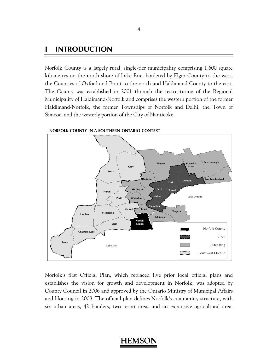### **I INTRODUCTION**

Norfolk County is a largely rural, single-tier municipality comprising 1,600 square kilometres on the north shore of Lake Erie, bordered by Elgin County to the west, the Counties of Oxford and Brant to the north and Haldimand County to the east. The County was established in 2001 through the restructuring of the Regional Municipality of Haldimand-Norfolk and comprises the western portion of the former Haldimand-Norfolk, the former Townships of Norfolk and Delhi, the Town of Simcoe, and the westerly portion of the City of Nanticoke.



**NORFOLK COUNTY IN A SOUTHERN ONTARIO CONTEXT**

Norfolk's first Official Plan, which replaced five prior local official plans and establishes the vision for growth and development in Norfolk, was adopted by County Council in 2006 and approved by the Ontario Ministry of Municipal Affairs and Housing in 2008. The official plan defines Norfolk's community structure, with six urban areas, 42 hamlets, two resort areas and an expansive agricultural area.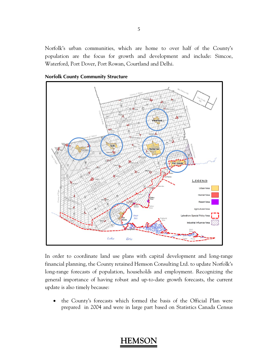Norfolk's urban communities, which are home to over half of the County's population are the focus for growth and development and include: Simcoe, Waterford, Port Dover, Port Rowan, Courtland and Delhi.

**Norfolk County Community Structure** 



In order to coordinate land use plans with capital development and long-range financial planning, the County retained Hemson Consulting Ltd. to update Norfolk's long-range forecasts of population, households and employment. Recognizing the general importance of having robust and up-to-date growth forecasts, the current update is also timely because:

 the County's forecasts which formed the basis of the Official Plan were prepared in 2004 and were in large part based on Statistics Canada Census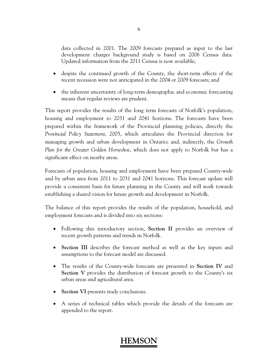data collected in 2001. The 2009 forecasts prepared as input to the last development charges background study is based on 2006 Census data. Updated information from the 2011 Census is now available;

- despite the continued growth of the County, the short-term effects of the recent recession were not anticipated in the 2004 or 2009 forecasts; and
- the inherent uncertainty of long-term demographic and economic forecasting means that regular reviews are prudent.

This report provides the results of the long term forecasts of Norfolk's population, housing and employment to 2031 and 2041 horizons. The forecasts have been prepared within the framework of the Provincial planning policies, directly the *Provincial Policy Statement*, 2005, which articulates the Provincial direction for managing growth and urban development in Ontario; and, indirectly, the *Growth Plan for the Greater Golden Horseshoe*, which does not apply to Norfolk but has a significant effect on nearby areas.

Forecasts of population, housing and employment have been prepared County-wide and by urban area from 2011 to 2031 and 2041 horizons. This forecast update will provide a consistent basis for future planning in the County and will work towards establishing a shared vision for future growth and development in Norfolk.

The balance of this report provides the results of the population, household, and employment forecasts and is divided into six sections:

- Following this introductory section, **Section II** provides an overview of recent growth patterns and trends in Norfolk.
- **Section III** describes the forecast method as well as the key inputs and assumptions to the forecast model are discussed.
- The results of the County-wide forecasts are presented in **Section IV** and **Section V** provides the distribution of forecast growth to the County's six urban areas and agricultural area.
- **Section VI** presents study conclusions.
- A series of technical tables which provide the details of the forecasts are appended to the report.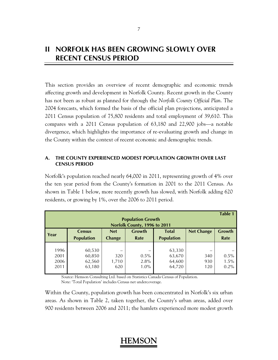### **II NORFOLK HAS BEEN GROWING SLOWLY OVER RECENT CENSUS PERIOD**

This section provides an overview of recent demographic and economic trends affecting growth and development in Norfolk County. Recent growth in the County has not been as robust as planned for through the *Norfolk County Official Plan*. The 2004 forecasts, which formed the basis of the official plan projections, anticipated a 2011 Census population of 75,800 residents and total employment of 39,610. This compares with a 2011 Census population of 63,180 and 22,900 jobs—a notable divergence, which highlights the importance of re-evaluating growth and change in the County within the context of recent economic and demographic trends.

### **A. THE COUNTY EXPERIENCED MODEST POPULATION GROWTH OVER LAST CENSUS PERIOD**

Norfolk's population reached nearly 64,000 in 2011, representing growth of 4% over the ten year period from the County's formation in 2001 to the 2011 Census. As shown in Table 1 below, more recently growth has slowed, with Norfolk adding 620 residents, or growing by 1%, over the 2006 to 2011 period.

| <b>Table 1</b><br><b>Population Growth</b><br>Norfolk County, 1996 to 2011 |                                      |                             |                            |                                      |                   |                         |  |  |
|----------------------------------------------------------------------------|--------------------------------------|-----------------------------|----------------------------|--------------------------------------|-------------------|-------------------------|--|--|
| Year                                                                       | <b>Census</b><br><b>Population</b>   | <b>Net</b><br><b>Change</b> | Growth<br>Rate             | <b>Total</b><br><b>Population</b>    | <b>Net Change</b> | Growth<br>Rate          |  |  |
| 1996<br>2001<br>2006<br>2011                                               | 60,530<br>60,850<br>62,560<br>63,180 | 320<br>1,710<br>620         | $0.5\%$<br>2.8%<br>$1.0\%$ | 63,330<br>63,670<br>64,600<br>64,720 | 340<br>930<br>120 | 0.5%<br>1.5%<br>$0.2\%$ |  |  |

 Source: Hemson Consulting Ltd. based on Statistics Canada Census of Population. Note: 'Total Population' includes Census net undercoverage.

Within the County, population growth has been concentrated in Norfolk's six urban areas. As shown in Table 2, taken together, the County's urban areas, added over 900 residents between 2006 and 2011; the hamlets experienced more modest growth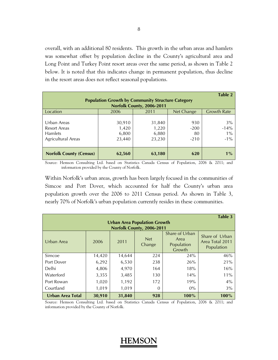overall, with an additional 80 residents. This growth in the urban areas and hamlets was somewhat offset by population decline in the County's agricultural area and Long Point and Turkey Point resort areas over the same period, as shown in Table 2 below. It is noted that this indicates change in permanent population, thus decline in the resort areas does not reflect seasonal populations.

|                                |                                                          |                           |            | Table 2            |  |  |  |  |
|--------------------------------|----------------------------------------------------------|---------------------------|------------|--------------------|--|--|--|--|
|                                | <b>Population Growth by Community Structure Category</b> |                           |            |                    |  |  |  |  |
|                                |                                                          | Norfolk County, 2006-2011 |            |                    |  |  |  |  |
| Location                       | 2006                                                     | 2011                      | Net Change | <b>Growth Rate</b> |  |  |  |  |
|                                |                                                          |                           |            |                    |  |  |  |  |
| Urban Areas                    | 30,910                                                   | 31,840                    | 930        | 3%                 |  |  |  |  |
| <b>Resort Areas</b>            | 1,420                                                    | 1,220                     | $-200$     | $-14%$             |  |  |  |  |
| <b>Hamlets</b>                 | 6,800                                                    | 6,880                     | 80         | $1\%$              |  |  |  |  |
| <b>Agricultural Areas</b>      | 23,440                                                   | 23,230                    | $-210$     | $-1\%$             |  |  |  |  |
|                                |                                                          |                           |            |                    |  |  |  |  |
| <b>Norfolk County (Census)</b> | 62,560                                                   | 63,180                    | 620        | $1\%$              |  |  |  |  |

Source: Hemson Consulting Ltd. based on Statistics Canada Census of Population, 2006 & 2011; and information provided by the County of Norfolk.

Within Norfolk's urban areas, growth has been largely focused in the communities of Simcoe and Port Dover, which accounted for half the County's urban area population growth over the 2006 to 2011 Census period. As shown in Table 3, nearly 70% of Norfolk's urban population currently resides in these communities.

|                                                                  |        |        |                      |                                                | Table 3                                         |  |  |  |  |
|------------------------------------------------------------------|--------|--------|----------------------|------------------------------------------------|-------------------------------------------------|--|--|--|--|
| <b>Urban Area Population Growth</b><br>Norfolk County, 2006-2011 |        |        |                      |                                                |                                                 |  |  |  |  |
| Urban Area                                                       | 2006   | 2011   | <b>Net</b><br>Change | Share of Urban<br>Area<br>Population<br>Growth | Share of Urban<br>Area Total 2011<br>Population |  |  |  |  |
| Simcoe                                                           | 14,420 | 14,644 | 224                  | 24%                                            | 46%                                             |  |  |  |  |
| Port Dover                                                       | 6,292  | 6,530  | 238                  | 26%                                            | 21%                                             |  |  |  |  |
| Delhi                                                            | 4,806  | 4,970  | 164                  | 18%                                            | 16%                                             |  |  |  |  |
| Waterford                                                        | 3,355  | 3,485  | 130                  | 14%                                            | 11%                                             |  |  |  |  |
| Port Rowan                                                       | 1,020  | 1,192  | 172                  | 19%                                            | $4\%$                                           |  |  |  |  |
| Courtland                                                        | 1,019  | 1,019  | 0                    | $0\%$                                          | 3%                                              |  |  |  |  |
| <b>Urban Area Total</b>                                          | 30,910 | 31,840 | 928                  | $100\%$                                        | 100%                                            |  |  |  |  |

Source: Hemson Consulting Ltd. based on Statistics Canada Census of Population, 2006 & 2011; and information provided by the County of Norfolk.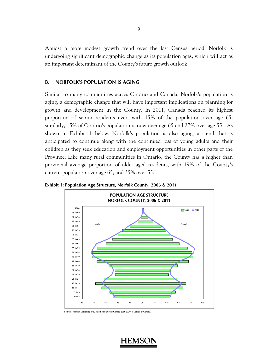Amidst a more modest growth trend over the last Census period, Norfolk is undergoing significant demographic change as its population ages, which will act as an important determinant of the County's future growth outlook.

#### **B. NORFOLK'S POPULATION IS AGING**

Similar to many communities across Ontario and Canada, Norfolk's population is aging, a demographic change that will have important implications on planning for growth and development in the County. In 2011, Canada reached its highest proportion of senior residents ever, with 15% of the population over age 65; similarly, 15% of Ontario's population is now over age 65 and 27% over age 55. As shown in Exhibit 1 below, Norfolk's population is also aging, a trend that is anticipated to continue along with the continued loss of young adults and their children as they seek education and employment opportunities in other parts of the Province. Like many rural communities in Ontario, the County has a higher than provincial average proportion of older aged residents, with 19% of the County's current population over age 65, and 35% over 55.



**Exhibit 1: Population Age Structure, Norfolk County, 2006 & 2011** 

**Source: Hemson Consulting Ltd. based on Statistics Canada 2006 & 2011 Census of Canada.**

9

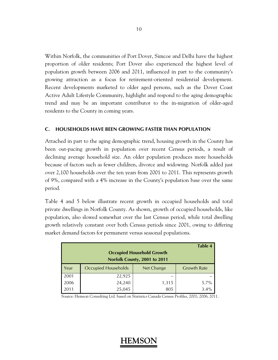Within Norfolk, the communities of Port Dover, Simcoe and Delhi have the highest proportion of older residents; Port Dover also experienced the highest level of population growth between 2006 and 2011, influenced in part to the community's growing attraction as a focus for retirement-oriented residential development. Recent developments marketed to older aged persons, such as the Dover Coast Active Adult Lifestyle Community, highlight and respond to the aging demographic trend and may be an important contributor to the in-migration of older-aged residents to the County in coming years.

#### **C. HOUSEHOLDS HAVE BEEN GROWING FASTER THAN POPULATION**

Attached in part to the aging demographic trend, housing growth in the County has been out-pacing growth in population over recent Census periods, a result of declining average household size. An older population produces more households because of factors such as fewer children, divorce and widowing. Norfolk added just over 2,100 households over the ten years from 2001 to 2011. This represents growth of 9%, compared with a 4% increase in the County's population base over the same period.

Table 4 and 5 below illustrate recent growth in occupied households and total private dwellings in Norfolk County. As shown, growth of occupied households, like population, also slowed somewhat over the last Census period, while total dwelling growth relatively constant over both Census periods since 2001, owing to differing market demand factors for permanent versus seasonal populations.

|      | <b>Table 4</b><br><b>Occupied Household Growth</b><br>Norfolk County, 2001 to 2011 |            |                    |  |  |  |  |  |
|------|------------------------------------------------------------------------------------|------------|--------------------|--|--|--|--|--|
| Year | <b>Occupied Households</b>                                                         | Net Change | <b>Growth Rate</b> |  |  |  |  |  |
| 2001 | 22,925                                                                             |            |                    |  |  |  |  |  |
| 2006 | 24,240                                                                             | 1,315      | 5.7%               |  |  |  |  |  |
| 2011 | 25,045                                                                             | 805        | 3.4%               |  |  |  |  |  |

Source: Hemson Consulting Ltd. based on Statistics Canada Census Profiles, 2001; 2006; 2011.

#### 10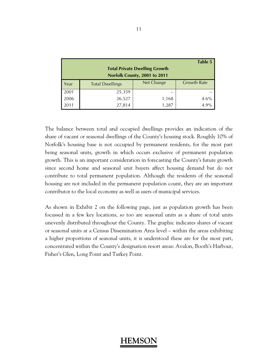| Table 5<br><b>Total Private Dwelling Growth</b><br>Norfolk County, 2001 to 2011 |                        |            |                    |  |  |  |  |
|---------------------------------------------------------------------------------|------------------------|------------|--------------------|--|--|--|--|
| Year                                                                            | <b>Total Dwellings</b> | Net Change | <b>Growth Rate</b> |  |  |  |  |
| 2001                                                                            | 25,359                 |            |                    |  |  |  |  |
| 2006                                                                            | 26,527                 | 1,168      | 4.6%               |  |  |  |  |
| 2011                                                                            | 27,814                 | 1,287      | 4.9%               |  |  |  |  |

The balance between total and occupied dwellings provides an indication of the share of vacant or seasonal dwellings of the County's housing stock. Roughly 10% of Norfolk's housing base is not occupied by permanent residents, for the most part being seasonal units, growth in which occurs exclusive of permanent population growth. This is an important consideration in forecasting the County's future growth since second home and seasonal unit buyers affect housing demand but do not contribute to total permanent population. Although the residents of the seasonal housing are not included in the permanent population count, they are an important contributor to the local economy as well as users of municipal services.

As shown in Exhibit 2 on the following page, just as population growth has been focussed in a few key locations, so too are seasonal units as a share of total units unevenly distributed throughout the County. The graphic indicates shares of vacant or seasonal units at a Census Dissemination Area level – within the areas exhibiting a higher proportions of seasonal units, it is understood these are for the most part, concentrated within the County's designation resort areas: Avalon, Booth's Harbour, Fisher's Glen, Long Point and Turkey Point.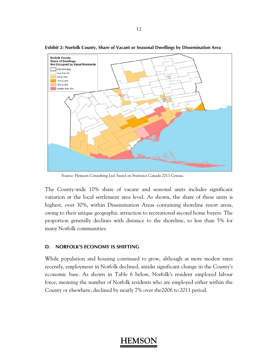

**Exhibit 2: Norfolk County, Share of Vacant or Seasonal Dwellings by Dissemination Area** 

Source: Hemson Consulting Ltd. based on Statistics Canada 2011 Census.

The County-wide 10% share of vacant and seasonal units includes significant variation at the local settlement area level. As shown, the share of these units is highest, over 30%, within Dissemination Areas containing shoreline resort areas, owing to their unique geographic attraction to recreational second home buyers. The proportion generally declines with distance to the shoreline, to less than 5% for many Norfolk communities.

#### **D. NORFOLK'S ECONOMY IS SHIFTING**

While population and housing continued to grow, although at more modest rates recently, employment in Norfolk declined, amidst significant change in the County's economic base. As shown in Table 6 below, Norfolk's resident employed labour force, meaning the number of Norfolk residents who are employed either within the County or elsewhere, declined by nearly 7% over the2006 to 2011 period.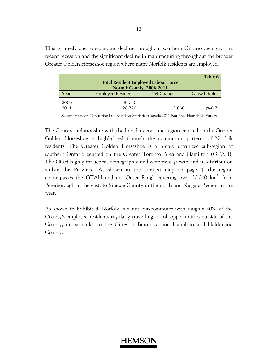This is largely due to economic decline throughout southern Ontario owing to the recent recession and the significant decline in manufacturing throughout the broader Greater Golden Horseshoe region where many Norfolk residents are employed.

| Table 6<br><b>Total Resident Employed Labour Force</b><br>Norfolk County, 2006-2011 |                           |            |                    |  |  |  |  |
|-------------------------------------------------------------------------------------|---------------------------|------------|--------------------|--|--|--|--|
| Year                                                                                | <b>Employed Residents</b> | Net Change | <b>Growth Rate</b> |  |  |  |  |
| 2006<br>2011                                                                        | 30,780<br>28,720          | $-2,060$   | (%6.7)             |  |  |  |  |

Source: Hemson Consulting Ltd. based on Statistics Canada 2011 National Household Survey.

The County's relationship with the broader economic region centred on the Greater Golden Horseshoe is highlighted through the commuting patterns of Norfolk residents. The Greater Golden Horseshoe is a highly urbanized sub-region of southern Ontario centred on the Greater Toronto Area and Hamilton (GTAH). The GGH highly influences demographic and economic growth and its distribution within the Province. As shown in the context map on page 4, the region encompasses the GTAH and an 'Outer Ring', covering over  $30,000 \text{ km}^2$ , from Peterborough in the east, to Simcoe County in the north and Niagara Region in the west.

As shown in Exhibit 3, Norfolk is a net out-commuter with roughly 40% of the County's employed residents regularly travelling to job opportunities outside of the County, in particular to the Cities of Brantford and Hamilton and Haldimand County.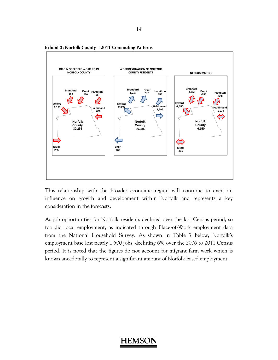

**Exhibit 3: Norfolk County – 2011 Commuting Patterns** 

This relationship with the broader economic region will continue to exert an influence on growth and development within Norfolk and represents a key consideration in the forecasts.

As job opportunities for Norfolk residents declined over the last Census period, so too did local employment, as indicated through Place-of-Work employment data from the National Household Survey. As shown in Table 7 below, Norfolk's employment base lost nearly 1,500 jobs, declining 6% over the 2006 to 2011 Census period. It is noted that the figures do not account for migrant farm work which is known anecdotally to represent a significant amount of Norfolk based employment.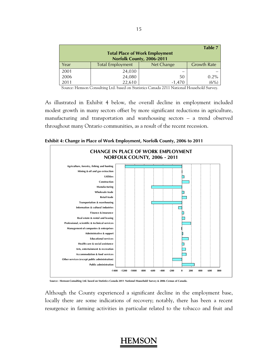|                                       |                         |            | Table 7            |  |  |  |  |  |
|---------------------------------------|-------------------------|------------|--------------------|--|--|--|--|--|
| <b>Total Place of Work Employment</b> |                         |            |                    |  |  |  |  |  |
| Norfolk County, 2006-2011             |                         |            |                    |  |  |  |  |  |
| Year                                  | <b>Total Employment</b> | Net Change | <b>Growth Rate</b> |  |  |  |  |  |
| 2001                                  | 24,030                  |            |                    |  |  |  |  |  |
| 2006                                  | 24,080                  | 50         | 0.2%               |  |  |  |  |  |
| 2011                                  | 22,610                  | $-1.470$   | (6%)               |  |  |  |  |  |

Source: Hemson Consulting Ltd. based on Statistics Canada 2011 National Household Survey.

As illustrated in Exhibit 4 below, the overall decline in employment included modest growth in many sectors offset by more significant reductions in agriculture, manufacturing and transportation and warehousing sectors – a trend observed throughout many Ontario communities, as a result of the recent recession.



**Exhibit 4: Change in Place of Work Employment, Norfolk County, 2006 to 2011**

**Source: Hemson Consulting Ltd. based on Statistics Canada 2011 National Household Survey & 2006 Census of Canada.**

Although the County experienced a significant decline in the employment base, locally there are some indications of recovery; notably, there has been a recent resurgence in farming activities in particular related to the tobacco and fruit and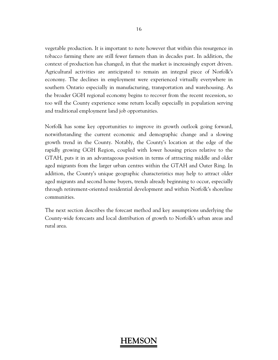vegetable production. It is important to note however that within this resurgence in tobacco farming there are still fewer farmers than in decades past. In addition, the context of production has changed, in that the market is increasingly export driven. Agricultural activities are anticipated to remain an integral piece of Norfolk's economy. The declines in employment were experienced virtually everywhere in southern Ontario especially in manufacturing, transportation and warehousing. As the broader GGH regional economy begins to recover from the recent recession, so too will the County experience some return locally especially in population serving and traditional employment land job opportunities.

Norfolk has some key opportunities to improve its growth outlook going forward, notwithstanding the current economic and demographic change and a slowing growth trend in the County. Notably, the County's location at the edge of the rapidly growing GGH Region, coupled with lower housing prices relative to the GTAH, puts it in an advantageous position in terms of attracting middle and older aged migrants from the larger urban centres within the GTAH and Outer Ring. In addition, the County's unique geographic characteristics may help to attract older aged migrants and second home buyers, trends already beginning to occur, especially through retirement-oriented residential development and within Norfolk's shoreline communities.

The next section describes the forecast method and key assumptions underlying the County-wide forecasts and local distribution of growth to Norfolk's urban areas and rural area.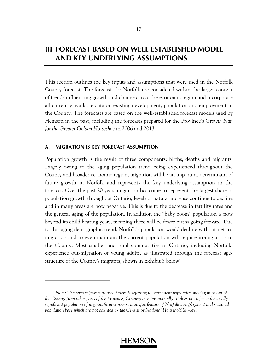### **III FORECAST BASED ON WELL ESTABLISHED MODEL AND KEY UNDERLYING ASSUMPTIONS**

This section outlines the key inputs and assumptions that were used in the Norfolk County forecast. The forecasts for Norfolk are considered within the larger context of trends influencing growth and change across the economic region and incorporate all currently available data on existing development, population and employment in the County. The forecasts are based on the well-established forecast models used by Hemson in the past, including the forecasts prepared for the Province's *Growth Plan for the Greater Golden Horseshoe* in 2006 and 2013.

#### **A. MIGRATION IS KEY FORECAST ASSUMPTION**

 $\overline{a}$ 

Population growth is the result of three components: births, deaths and migrants. Largely owing to the aging population trend being experienced throughout the County and broader economic region, migration will be an important determinant of future growth in Norfolk and represents the key underlying assumption in the forecast. Over the past 20 years migration has come to represent the largest share of population growth throughout Ontario; levels of natural increase continue to decline and in many areas are now negative. This is due to the decrease in fertility rates and the general aging of the population. In addition the "baby boom" population is now beyond its child bearing years, meaning there will be fewer births going forward. Due to this aging demographic trend, Norfolk's population would decline without net inmigration and to even maintain the current population will require in-migration to the County. Most smaller and rural communities in Ontario, including Norfolk, experience out-migration of young adults, as illustrated through the forecast agestructure of the County's migrants, shown in Exhibit 5 below<sup>1</sup>.

<sup>&</sup>lt;sup>1</sup> Note: The term migrants as used herein is referring to permanent population moving in or out of *the County from other parts of the Province, Country or internationally. It does not refer to the locally significant population of migrant farm workers, a unique feature of Norfolk's employment and seasonal population base which are not counted by the Census or National Household Survey.*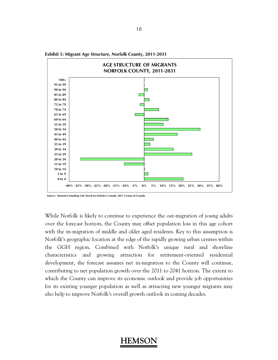

**Exhibit 5: Migrant Age Structure, Norfolk County, 2011-2031**

**Source: Hemson Consulting Ltd. based on Statistics Canada, 2011 Census of Canada.**

While Norfolk is likely to continue to experience the out-migration of young adults over the forecast horizon, the County may offset population loss in this age cohort with the in-migration of middle and older aged residents. Key to this assumption is Norfolk's geographic location at the edge of the rapidly growing urban centres within the GGH region. Combined with Norfolk's unique rural and shoreline characteristics and growing attraction for retirement-oriented residential development, the forecast assumes net in-migration to the County will continue, contributing to net population growth over the 2011 to 2041 horizon. The extent to which the County can improve its economic outlook and provide job opportunities for its existing younger population as well as attracting new younger migrants may also help to improve Norfolk's overall growth outlook in coming decades.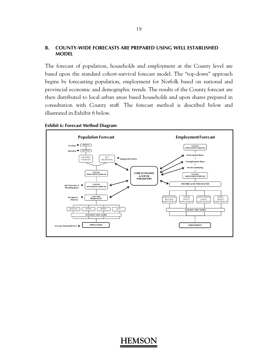#### **B. COUNTY-WIDE FORECASTS ARE PREPARED USING WELL ESTABLISHED MODEL**

The forecast of population, households and employment at the County level are based upon the standard cohort-survival forecast model. The "top-down" approach begins by forecasting population, employment for Norfolk based on national and provincial economic and demographic trends. The results of the County forecast are then distributed to local urban areas based households and upon shares prepared in consultation with County staff. The forecast method is described below and illustrated in Exhibit 6 below.



#### **Exhibit 6: Forecast Method Diagram**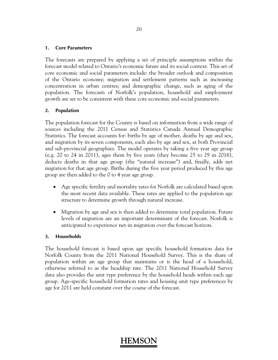#### **1. Core Parameters**

The forecasts are prepared by applying a set of principle assumptions within the forecast model related to Ontario's economic future and its social context. This set of core economic and social parameters include: the broader outlook and composition of the Ontario economy; migration and settlement patterns such as increasing concentration in urban centres; and demographic change, such as aging of the population. The forecasts of Norfolk's population, household and employment growth are set to be consistent with these core economic and social parameters.

#### **2. Population**

The population forecast for the County is based on information from a wide range of sources including the 2011 Census and Statistics Canada Annual Demographic Statistics. The forecast accounts for: births by age of mother, deaths by age and sex, and migration by its seven components, each also by age and sex, at both Provincial and sub-provincial geographies. The model operates by taking a five year age group (e.g. 20 to 24 in 2011), ages them by five years (they become 25 to 29 in 2016), deducts deaths in that age group (the "natural increase") and, finally, adds net migration for that age group. Births during the five year period produced by this age group are then added to the 0 to 4 year age group.

- Age specific fertility and mortality rates for Norfolk are calculated based upon the most recent data available. These rates are applied to the population age structure to determine growth through natural increase.
- Migration by age and sex is then added to determine total population. Future levels of migration are an important determinant of the forecast. Norfolk is anticipated to experience net-in migration over the forecast horizon.

### **3. Households**

The household forecast is based upon age specific household formation data for Norfolk County from the 2011 National Household Survey. This is the share of population within an age group that maintains or is the head of a household, otherwise referred to as the headship rate. The 2011 National Household Survey data also provides the unit type preference by the household heads within each age group. Age-specific household formation rates and housing unit type preferences by age for 2011 are held constant over the course of the forecast.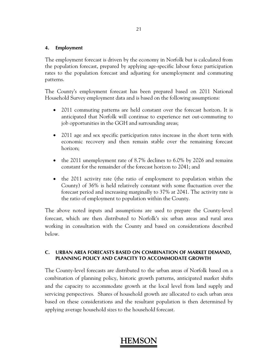### **4. Employment**

The employment forecast is driven by the economy in Norfolk but is calculated from the population forecast, prepared by applying age-specific labour force participation rates to the population forecast and adjusting for unemployment and commuting patterns.

The County's employment forecast has been prepared based on 2011 National Household Survey employment data and is based on the following assumptions:

- 2011 commuting patterns are held constant over the forecast horizon. It is anticipated that Norfolk will continue to experience net out-commuting to job opportunities in the GGH and surrounding areas;
- 2011 age and sex specific participation rates increase in the short term with economic recovery and then remain stable over the remaining forecast horizon;
- the 2011 unemployment rate of 8.7% declines to 6.0% by 2026 and remains constant for the remainder of the forecast horizon to 2041; and
- the 2011 activity rate (the ratio of employment to population within the County) of 36% is held relatively constant with some fluctuation over the forecast period and increasing marginally to 37% at 2041. The activity rate is the ratio of employment to population within the County.

The above noted inputs and assumptions are used to prepare the County-level forecast, which are then distributed to Norfolk's six urban areas and rural area working in consultation with the County and based on considerations described below.

### **C. URBAN AREA FORECASTS BASED ON COMBINATION OF MARKET DEMAND, PLANNING POLICY AND CAPACITY TO ACCOMMODATE GROWTH**

The County-level forecasts are distributed to the urban areas of Norfolk based on a combination of planning policy, historic growth patterns, anticipated market shifts and the capacity to accommodate growth at the local level from land supply and servicing perspectives. Shares of household growth are allocated to each urban area based on these considerations and the resultant population is then determined by applying average household sizes to the household forecast.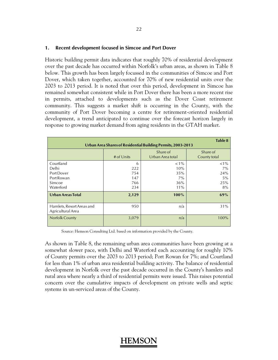#### **1. Recent development focused in Simcoe and Port Dover**

Historic building permit data indicates that roughly 70% of residential development over the past decade has occurred within Norfolk's urban areas, as shown in Table 8 below. This growth has been largely focussed in the communities of Simcoe and Port Dover, which taken together, accounted for 70% of new residential units over the 2003 to 2013 period. It is noted that over this period, development in Simcoe has remained somewhat consistent while in Port Dover there has been a more recent rise in permits, attached to developments such as the Dover Coast retirement community. This suggests a market shift is occurring in the County, with the community of Port Dover becoming a centre for retirement-oriented residential development, a trend anticipated to continue over the forecast horizon largely in response to growing market demand from aging residents in the GTAH market.

| Table 8<br>Urban Area Shares of Residential Building Permits, 2003-2013 |                                      |                                                 |                                                |  |  |  |
|-------------------------------------------------------------------------|--------------------------------------|-------------------------------------------------|------------------------------------------------|--|--|--|
|                                                                         | # of $Units$                         | Share of<br>Urban Area total                    | Share of<br>County total                       |  |  |  |
| Courtland<br>Delhi<br>Port Dover<br>Port Rowan<br>Simcoe<br>Waterford   | 6<br>222<br>754<br>147<br>766<br>234 | $< 1\%$<br>10%<br>35%<br>$7\%$<br>36%<br>$11\%$ | ${<}1\%$<br>$7\%$<br>24%<br>$5\%$<br>25%<br>8% |  |  |  |
| <b>Urban Areas Total</b>                                                | 2,129                                | 100%                                            | 69%                                            |  |  |  |
| Hamlets, Resort Areas and<br>Agricultural Area                          | 950                                  | n/a                                             | 31%                                            |  |  |  |
| <b>Norfolk County</b>                                                   | 3,079                                | n/a                                             | 100%                                           |  |  |  |

Source: Hemson Consulting Ltd. based on information provided by the County.

As shown in Table 8, the remaining urban area communities have been growing at a somewhat slower pace, with Delhi and Waterford each accounting for roughly 10% of County permits over the 2003 to 2013 period; Port Rowan for 7%; and Courtland for less than 1% of urban area residential building activity. The balance of residential development in Norfolk over the past decade occurred in the County's hamlets and rural area where nearly a third of residential permits were issued. This raises potential concern over the cumulative impacts of development on private wells and septic systems in un-serviced areas of the County.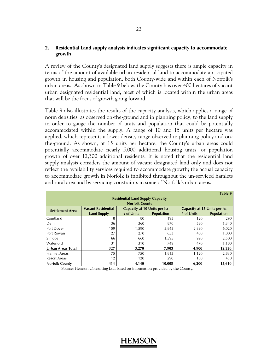### **2. Residential Land supply analysis indicates significant capacity to accommodate growth**

A review of the County's designated land supply suggests there is ample capacity in terms of the amount of available urban residential land to accommodate anticipated growth in housing and population, both County-wide and within each of Norfolk's urban areas. As shown in Table 9 below, the County has over 400 hectares of vacant urban designated residential land, most of which is located within the urban areas that will be the focus of growth going forward.

Table 9 also illustrates the results of the capacity analysis, which applies a range of norm densities, as observed on-the-ground and in planning policy, to the land supply in order to gauge the number of units and population that could be potentially accommodated within the supply. A range of 10 and 15 units per hectare was applied, which represents a lower density range observed in planning policy and onthe-ground. As shown, at 15 units per hectare, the County's urban areas could potentially accommodate nearly 5,000 additional housing units, or population growth of over 12,300 additional residents. It is noted that the residential land supply analysis considers the amount of vacant designated land only and does not reflect the availability services required to accommodate growth; the actual capacity to accommodate growth in Norfolk is inhibited throughout the un-serviced hamlets and rural area and by servicing constraints in some of Norfolk's urban areas.

|                                         |                           |                             |                   |                             | Table 9           |  |  |
|-----------------------------------------|---------------------------|-----------------------------|-------------------|-----------------------------|-------------------|--|--|
| <b>Residential Land Supply Capacity</b> |                           |                             |                   |                             |                   |  |  |
|                                         | <b>Norfolk County</b>     |                             |                   |                             |                   |  |  |
| <b>Settlement Area</b>                  | <b>Vacant Residential</b> | Capacity at 10 Units per ha |                   | Capacity at 15 Units per ha |                   |  |  |
|                                         | <b>Land Supply</b>        | # of Units                  | <b>Population</b> | # of Units                  | <b>Population</b> |  |  |
| Courtland                               | 8                         | 80                          | 193               | 120                         | 290               |  |  |
| Delhi                                   | 36                        | 360                         | 870               | 530                         | 1,340             |  |  |
| Port Dover                              | 159                       | 1,590                       | 3,843             | 2,390                       | 6,020             |  |  |
| Port Rowan                              | 27                        | 270                         | 653               | 400                         | 1,000             |  |  |
| <b>Simcoe</b>                           | 66                        | 660                         | 1,595             | 990                         | 2,500             |  |  |
| Waterford                               | 31                        | 310                         | 749               | 470                         | 1,180             |  |  |
| Urban Areas Total                       | 327                       | 3,270                       | 7,903             | 4,900                       | 12,330            |  |  |
| <b>Hamlet Areas</b>                     | 75                        | 750                         | 1,813             | 1,120                       | 2,830             |  |  |
| <b>Resort Areas</b>                     | 12                        | 120                         | 290               | 180                         | 450               |  |  |
| Norfolk County                          | 414                       | 4,140                       | 10,005            | 6,200                       | 15,610            |  |  |

Source: Hemson Consulting Ltd. based on information provided by the County.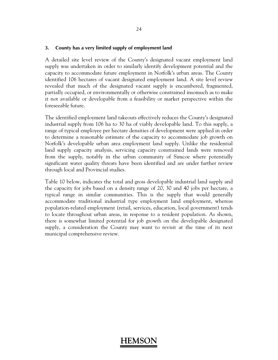#### **3. County has a very limited supply of employment land**

A detailed site level review of the County's designated vacant employment land supply was undertaken in order to similarly identify development potential and the capacity to accommodate future employment in Norfolk's urban areas. The County identified 106 hectares of vacant designated employment land. A site level review revealed that much of the designated vacant supply is encumbered, fragmented, partially occupied, or environmentally or otherwise constrained insomuch as to make it not available or developable from a feasibility or market perspective within the foreseeable future.

The identified employment land takeouts effectively reduces the County's designated industrial supply from 106 ha to 30 ha of viably developable land. To this supply, a range of typical employee per hectare densities of development were applied in order to determine a reasonable estimate of the capacity to accommodate job growth on Norfolk's developable urban area employment land supply. Unlike the residential land supply capacity analysis, servicing capacity constrained lands were removed from the supply, notably in the urban community of Simcoe where potentially significant water quality threats have been identified and are under further review through local and Provincial studies.

Table 10 below, indicates the total and gross developable industrial land supply and the capacity for jobs based on a density range of 20, 30 and 40 jobs per hectare, a typical range in similar communities. This is the supply that would generally accommodate traditional industrial type employment land employment, whereas population-related employment (retail, services, education, local government) tends to locate throughout urban areas, in response to a resident population. As shown, there is somewhat limited potential for job growth on the developable designated supply, a consideration the County may want to revisit at the time of its next municipal comprehensive review.

#### 24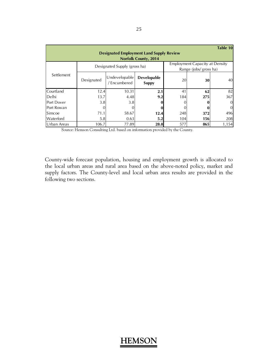|                                                                                |                              |                               |                             |     |                                                                | Table 10 |  |
|--------------------------------------------------------------------------------|------------------------------|-------------------------------|-----------------------------|-----|----------------------------------------------------------------|----------|--|
| <b>Designated Employment Land Supply Review</b><br><b>Norfolk County, 2014</b> |                              |                               |                             |     |                                                                |          |  |
|                                                                                | Designated Supply (gross ha) |                               |                             |     | <b>Employment Capacity at Density</b><br>Range (jobs/gross ha) |          |  |
| Settlement                                                                     | Designated                   | Undevelopable<br>/ Encumbered | Developable<br><b>Suppy</b> | 20  | 30                                                             | 40       |  |
| Courtland                                                                      | 12.4                         | 10.31                         | 2.1                         | 41  | 62                                                             | 82       |  |
| Delhi                                                                          | 13.7                         | 4.48                          | 9.2                         | 184 | 275                                                            | 367      |  |
| Port Dover                                                                     | 3.8                          | 3.8                           |                             |     |                                                                |          |  |
| Port Rowan                                                                     |                              |                               |                             |     |                                                                | $\Omega$ |  |
| Simcoe                                                                         | 71.1                         | 58.67                         | 12.4                        | 248 | 372                                                            | 496      |  |
| Waterford                                                                      | 5.8                          | 0.63                          | 5.2                         | 104 | 156                                                            | 208      |  |
| Urban Areas                                                                    | 106.7                        | 77.89                         | 28.8                        | 577 | 865                                                            | 1,154    |  |

Source: Hemson Consulting Ltd. based on information provided by the County.

County-wide forecast population, housing and employment growth is allocated to the local urban areas and rural area based on the above-noted policy, market and supply factors. The County-level and local urban area results are provided in the following two sections.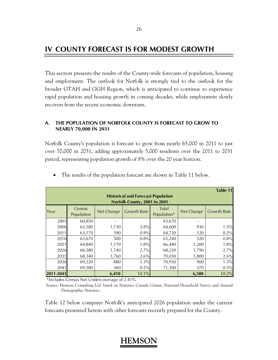### **IV COUNTY FORECAST IS FOR MODEST GROWTH**

This section presents the results of the County-wide forecasts of population, housing and employment. The outlook for Norfolk is strongly tied to the outlook for the broader GTAH and GGH Region, which is anticipated to continue to experience rapid population and housing growth in coming decades, while employment slowly recovers from the recent economic downturn.

### **A. THE POPULATION OF NORFOLK COUNTY IS FORECAST TO GROW TO NEARLY 70,000 IN 2031**

Norfolk County's population is forecast to grow from nearly 65,000 in 2011 to just over 70,000 in 2031, adding approximately 5,000 residents over the 2011 to 2031 period, representing population growth of 8% over the 20 year horizon.

| Table 11                                                                                                                                   |        |       |       |        |       |       |  |
|--------------------------------------------------------------------------------------------------------------------------------------------|--------|-------|-------|--------|-------|-------|--|
| <b>Historical and Forecast Population</b><br>Norfolk County, 2001 to 2041                                                                  |        |       |       |        |       |       |  |
| Total<br>Census<br><b>Growth Rate</b><br><b>Growth Rate</b><br><b>Net Change</b><br><b>Net Change</b><br>Year<br>Population*<br>Population |        |       |       |        |       |       |  |
| 2001                                                                                                                                       | 60,850 |       |       | 63,670 |       |       |  |
| 2006                                                                                                                                       | 62,580 | 1,730 | 2.8%  | 64,600 | 930   | 1.5%  |  |
| 2011                                                                                                                                       | 63,170 | 590   | 0.9%  | 64,720 | 120   | 0.2%  |  |
| 2016                                                                                                                                       | 63,670 | 500   | 0.8%  | 65,240 | 520   | 0.8%  |  |
| 2021                                                                                                                                       | 64,840 | 1,170 | 1.8%  | 66,440 | 1,200 | 1.8%  |  |
| 2026                                                                                                                                       | 66,580 | 1,740 | 2.7%  | 68,230 | 1,790 | 2.7%  |  |
| 2031                                                                                                                                       | 68,340 | 1,760 | 2.6%  | 70,030 | 1,800 | 2.6%  |  |
| 2036                                                                                                                                       | 69,220 | 880   | 1.3%  | 70,930 | 900   | 1.3%  |  |
| 2041                                                                                                                                       | 69,580 | 360   | 0.5%  | 71,300 | 370   | 0.5%  |  |
| 2011-2041                                                                                                                                  |        | 6,410 | 10.1% |        | 6,580 | 10.2% |  |

• The results of the population forecast are shown in Table 11 below.

\*Includes Census Net Undercoverage of 2.41%

 Source: Hemson Consulting Ltd. based on Statistics Canada Census, National Household Survey and Annual Demographic Statistics.

Table 12 below compares Norfolk's anticipated 2026 population under the current forecasts presented herein with other forecasts recently prepared for the County.

#### 26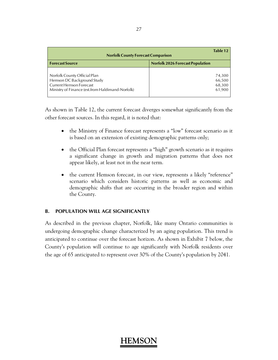| Table 12<br><b>Norfolk County Forecast Comparison</b> |                                         |  |  |  |
|-------------------------------------------------------|-----------------------------------------|--|--|--|
| <b>Forecast Source</b>                                | <b>Norfolk 2026 Forecast Population</b> |  |  |  |
|                                                       |                                         |  |  |  |
| Norfolk County Official Plan                          | 74,300                                  |  |  |  |
| Hemson DC Background Study                            | 66,500                                  |  |  |  |
| Current Hemson Forecast                               | 68,300                                  |  |  |  |
| Ministry of Finance (est.from Haldimand-Norfolk)      | 61,900                                  |  |  |  |

As shown in Table 12, the current forecast diverges somewhat significantly from the other forecast sources. In this regard, it is noted that:

- the Ministry of Finance forecast represents a "low" forecast scenario as it is based on an extension of existing demographic patterns only;
- the Official Plan forecast represents a "high" growth scenario as it requires a significant change in growth and migration patterns that does not appear likely, at least not in the near term.
- the current Hemson forecast, in our view, represents a likely "reference" scenario which considers historic patterns as well as economic and demographic shifts that are occurring in the broader region and within the County.

### **B. POPULATION WILL AGE SIGNIFICANTLY**

As described in the previous chapter, Norfolk, like many Ontario communities is undergoing demographic change characterized by an aging population. This trend is anticipated to continue over the forecast horizon. As shown in Exhibit 7 below, the County's population will continue to age significantly with Norfolk residents over the age of 65 anticipated to represent over 30% of the County's population by 2041.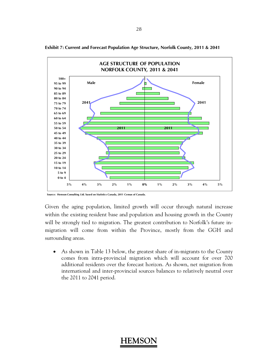

**Exhibit 7: Current and Forecast Population Age Structure, Norfolk County, 2011 & 2041** 

Given the aging population, limited growth will occur through natural increase within the existing resident base and population and housing growth in the County will be strongly tied to migration. The greatest contribution to Norfolk's future inmigration will come from within the Province, mostly from the GGH and surrounding areas.

 As shown in Table 13 below, the greatest share of in-migrants to the County comes from intra-provincial migration which will account for over 700 additional residents over the forecast horizon. As shown, net migration from international and inter-provincial sources balances to relatively neutral over the 2011 to 2041 period.

**Source: Hemson Consulting Ltd. based on Statistics Canada, 2011 Census of Canada.**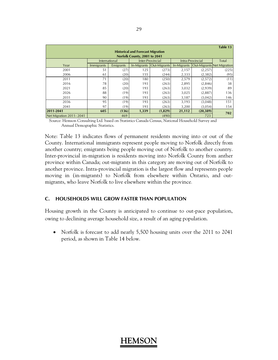|                                          |                   |           |                              |                  |             |                  | Table 13                   |
|------------------------------------------|-------------------|-----------|------------------------------|------------------|-------------|------------------|----------------------------|
| <b>Historical and Forecast Migration</b> |                   |           |                              |                  |             |                  |                            |
|                                          |                   |           | Norfolk County, 2001 to 2041 |                  |             |                  |                            |
|                                          | International     |           |                              | Inter-Provincial |             | Intra-Provincial | Total                      |
| Year                                     | <b>Immigrants</b> | Emigrants | In-Migrants                  | Out-Migrants     | In-Migrants |                  | Out-Migrants Net Migration |
| 2001                                     | 51                | (27)      | 125                          | (273)            | 2,157       | (2, 257)         | (225)                      |
| 2006                                     | 61                | (20)      | 155                          | (244)            | 2,333       | (2, 382)         | (95)                       |
| 2011                                     | 71                | (20)      | 180                          | (250)            | 2,579       | (2,572)          | (11)                       |
| 2016                                     | 78                | (20)      | 193                          | (263)            | 2,895       | (2,846)          | 38                         |
| 2021                                     | 85                | (20)      | 193                          | (263)            | 3,032       | (2,939)          | 89                         |
| 2026                                     | 88                | (19)      | 193                          | (263)            | 3,025       | (2,887)          | 136                        |
| 2031                                     | 90                | (19)      | 193                          | (263)            | 3,187       | (3,042)          | 146                        |
| 2036                                     | 95                | (19)      | 193                          | (263)            | 3,193       | (3,048)          | 151                        |
| 2041                                     | 97                | (19)      | 193                          | (263)            | 3,200       | (3,054)          | 154                        |
| 2011-2041                                | 605               | (136)     | 1,339                        | (1,829)          | 21,112      | (20, 389)        | 702                        |
| Net Migration 2011-2041                  |                   | 469       |                              | (490)            |             | 723              |                            |

 Source: Hemson Consulting Ltd. based on Statistics Canada Census, National Household Survey and Annual Demographic Statistics.

Note: Table 13 indicates flows of permanent residents moving into or out of the County. International immigrants represent people moving to Norfolk directly from another country; emigrants being people moving out of Norfolk to another country. Inter-provincial in-migration is residents moving into Norfolk County from anther province within Canada; out-migrants in this category are moving out of Norfolk to another province. Intra-provincial migration is the largest flow and represents people moving in (in-migrants) to Norfolk from elsewhere within Ontario, and outmigrants, who leave Norfolk to live elsewhere within the province.

### **C. HOUSEHOLDS WILL GROW FASTER THAN POPULATION**

Housing growth in the County is anticipated to continue to out-pace population, owing to declining average household size, a result of an aging population.

• Norfolk is forecast to add nearly 5,500 housing units over the 2011 to 2041 period, as shown in Table 14 below.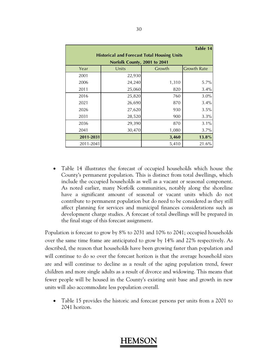|                                                    |                              |        | Table 14           |  |  |
|----------------------------------------------------|------------------------------|--------|--------------------|--|--|
| <b>Historical and Forecast Total Housing Units</b> |                              |        |                    |  |  |
|                                                    | Norfolk County, 2001 to 2041 |        |                    |  |  |
| Year                                               | Units                        | Growth | <b>Growth Rate</b> |  |  |
| 2001                                               | 22,930                       |        |                    |  |  |
| 2006                                               | 24,240                       | 1,310  | $5.7\%$            |  |  |
| 2011                                               | 25,060                       | 820    | 3.4%               |  |  |
| 2016                                               | 25,820                       | 760    | 3.0%               |  |  |
| 2021                                               | 26,690                       | 870    | 3.4%               |  |  |
| 2026                                               | 27,620                       | 930    | 3.5%               |  |  |
| 2031                                               | 28,520                       | 900    | 3.3%               |  |  |
| 2036                                               | 29,390                       | 870    | 3.1%               |  |  |
| 2041                                               | 30,470                       | 1,080  | $3.7\%$            |  |  |
| 2011-2031                                          |                              | 3,460  | 13.8%              |  |  |
| 2011-2041                                          |                              | 5,410  | 21.6%              |  |  |

 Table 14 illustrates the forecast of occupied households which house the County's permanent population. This is distinct from total dwellings, which include the occupied households as well as a vacant or seasonal component. As noted earlier, many Norfolk communities, notably along the shoreline have a significant amount of seasonal or vacant units which do not contribute to permanent population but do need to be considered as they still affect planning for services and municipal finances considerations such as development charge studies. A forecast of total dwellings will be prepared in the final stage of this forecast assignment.

Population is forecast to grow by 8% to 2031 and 10% to 2041; occupied households over the same time frame are anticipated to grow by 14% and 22% respectively. As described, the reason that households have been growing faster than population and will continue to do so over the forecast horizon is that the average household sizes are and will continue to decline as a result of the aging population trend, fewer children and more single adults as a result of divorce and widowing. This means that fewer people will be housed in the County's existing unit base and growth in new units will also accommodate less population overall.

 Table 15 provides the historic and forecast persons per units from a 2001 to 2041 horizon.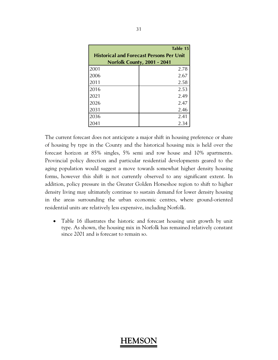|                                                 | Table 15                    |  |  |  |
|-------------------------------------------------|-----------------------------|--|--|--|
| <b>Historical and Forecast Persons Per Unit</b> |                             |  |  |  |
|                                                 | Norfolk County, 2001 - 2041 |  |  |  |
| 2001                                            | 2.78                        |  |  |  |
| 2006                                            | 2.67                        |  |  |  |
| 2011                                            | 2.58                        |  |  |  |
| 2016                                            | 2.53                        |  |  |  |
| 2021                                            | 2.49                        |  |  |  |
| 2026                                            | 2.47                        |  |  |  |
| 2031                                            | 2.46                        |  |  |  |
| 2036                                            | 2.41                        |  |  |  |
| 2041                                            | 2.34                        |  |  |  |

The current forecast does not anticipate a major shift in housing preference or share of housing by type in the County and the historical housing mix is held over the forecast horizon at 85% singles, 5% semi and row house and 10% apartments. Provincial policy direction and particular residential developments geared to the aging population would suggest a move towards somewhat higher density housing forms, however this shift is not currently observed to any significant extent. In addition, policy pressure in the Greater Golden Horseshoe region to shift to higher density living may ultimately continue to sustain demand for lower density housing in the areas surrounding the urban economic centres, where ground-oriented residential units are relatively less expensive, including Norfolk.

• Table 16 illustrates the historic and forecast housing unit growth by unit type. As shown, the housing mix in Norfolk has remained relatively constant since 2001 and is forecast to remain so.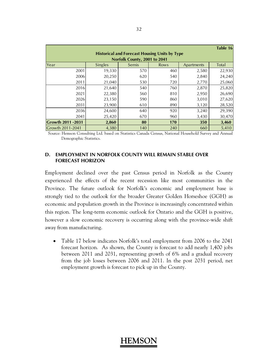|                                                      |                |                              |      |            | Table 16 |  |  |  |
|------------------------------------------------------|----------------|------------------------------|------|------------|----------|--|--|--|
| <b>Historical and Forecast Housing Units by Type</b> |                |                              |      |            |          |  |  |  |
|                                                      |                | Norfolk County, 2001 to 2041 |      |            |          |  |  |  |
| Year                                                 | <b>Singles</b> | Semis                        | Rows | Apartments | Total    |  |  |  |
| 2001                                                 | 19,330         | 570                          | 460  | 2,580      | 22,930   |  |  |  |
| 2006                                                 | 20,250         | 620                          | 540  | 2,840      | 24,240   |  |  |  |
| 2011                                                 | 21,040         | 530                          | 720  | 2,770      | 25,060   |  |  |  |
| 2016                                                 | 21,640         | 540                          | 760  | 2,870      | 25,820   |  |  |  |
| 2021                                                 | 22,380         | 560                          | 810  | 2,950      | 26,690   |  |  |  |
| 2026                                                 | 23,150         | 590                          | 860  | 3,010      | 27,620   |  |  |  |
| 2031                                                 | 23,900         | 610                          | 890  | 3,120      | 28,520   |  |  |  |
| 2036                                                 | 24,600         | 640                          | 920  | 3,240      | 29,390   |  |  |  |
| 2041                                                 | 25,420         | 670                          | 960  | 3,430      | 30,470   |  |  |  |
| <b>Growth 2011 -2031</b>                             | 2,860          | 80                           | 170  | 350        | 3,460    |  |  |  |
| Growth 2011-2041                                     | 4,380          | 140                          | 240  | 660        | 5,410    |  |  |  |

 Source: Hemson Consulting Ltd. based on Statistics Canada Census, National Household Survey and Annual Demographic Statistics.

#### **D. EMPLOYMENT IN NORFOLK COUNTY WILL REMAIN STABLE OVER FORECAST HORIZON**

Employment declined over the past Census period in Norfolk as the County experienced the effects of the recent recession like most communities in the Province. The future outlook for Norfolk's economic and employment base is strongly tied to the outlook for the broader Greater Golden Horseshoe (GGH) as economic and population growth in the Province is increasingly concentrated within this region. The long-term economic outlook for Ontario and the GGH is positive, however a slow economic recovery is occurring along with the province-wide shift away from manufacturing.

 Table 17 below indicates Norfolk's total employment from 2006 to the 2041 forecast horizon. As shown, the County is forecast to add nearly 1,400 jobs between 2011 and 2031, representing growth of 6% and a gradual recovery from the job losses between 2006 and 2011. In the post 2031 period, net employment growth is forecast to pick up in the County.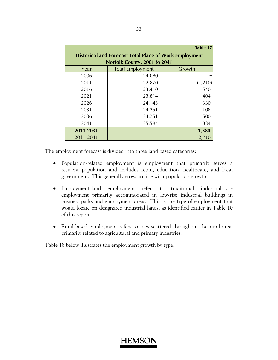|           |                                                               | Table 17 |
|-----------|---------------------------------------------------------------|----------|
|           | <b>Historical and Forecast Total Place of Work Employment</b> |          |
|           | Norfolk County, 2001 to 2041                                  |          |
| Year      | <b>Total Employment</b>                                       | Growth   |
| 2006      | 24,080                                                        |          |
| 2011      | 22,870                                                        | (1,210)  |
| 2016      | 23,410                                                        | 540      |
| 2021      | 23,814                                                        | 404      |
| 2026      | 24,143                                                        | 330      |
| 2031      | 24,251                                                        | 108      |
| 2036      | 24,751                                                        | 500      |
| 2041      | 25,584                                                        | 834      |
| 2011-2031 |                                                               | 1,380    |
| 2011-2041 |                                                               | 2,710    |

The employment forecast is divided into three land based categories:

- Population-related employment is employment that primarily serves a resident population and includes retail, education, healthcare, and local government. This generally grows in line with population growth.
- Employment-land employment refers to traditional industrial-type employment primarily accommodated in low-rise industrial buildings in business parks and employment areas. This is the type of employment that would locate on designated industrial lands, as identified earlier in Table 10 of this report.
- Rural-based employment refers to jobs scattered throughout the rural area, primarily related to agricultural and primary industries.

Table 18 below illustrates the employment growth by type.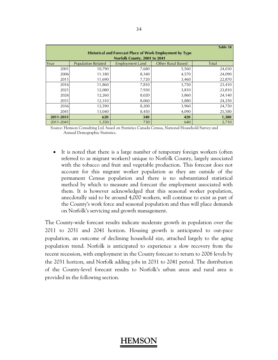|                                                                 |                           |                              |                          | <b>Table 18</b> |  |  |  |
|-----------------------------------------------------------------|---------------------------|------------------------------|--------------------------|-----------------|--|--|--|
| <b>Historical and Forecast Place of Work Employment by Type</b> |                           |                              |                          |                 |  |  |  |
|                                                                 |                           | Norfolk County, 2001 to 2041 |                          |                 |  |  |  |
| Year                                                            | <b>Population Related</b> | <b>Employment Land</b>       | <b>Other Rural Based</b> | Total           |  |  |  |
| 2001                                                            | 10,790                    | 7,680                        | 5,560                    | 24,030          |  |  |  |
| 2006                                                            | 11,180                    | 8,340                        | 4,570                    | 24,090          |  |  |  |
| 2011                                                            | 11.690                    | 7,720                        | 3,460                    | 22,870          |  |  |  |
| 2016                                                            | 11,860                    | 7,810                        | 3,750                    | 23,410          |  |  |  |
| 2021                                                            | 12,080                    | 7,930                        | 3,810                    | 23,810          |  |  |  |
| 2026                                                            | 12,260                    | 8,020                        | 3,860                    | 24,140          |  |  |  |
| 2031                                                            | 12,310                    | 8,060                        | 3,880                    | 24,250          |  |  |  |
| 2036                                                            | 12,590                    | 8,200                        | 3,960                    | 24,750          |  |  |  |
| 2041                                                            | 13,040                    | 8,450                        | 4,090                    | 25,580          |  |  |  |
| 2011-2031                                                       | 620                       | 340                          | 420                      | 1,380           |  |  |  |
| 2011-2041                                                       | 1,350                     | 730                          | 640                      | 2,710           |  |  |  |

 Source: Hemson Consulting Ltd. based on Statistics Canada Census, National Household Survey and Annual Demographic Statistics.

 It is noted that there is a large number of temporary foreign workers (often referred to as migrant workers) unique to Norfolk County, largely associated with the tobacco and fruit and vegetable production. This forecast does not account for this migrant worker population as they are outside of the permanent Census population and there is no substantiated statistical method by which to measure and forecast the employment associated with them. It is however acknowledged that this seasonal worker population, anecdotally said to be around 4,000 workers, will continue to exist as part of the County's work force and seasonal population and thus will place demands on Norfolk's servicing and growth management.

The County-wide forecast results indicate moderate growth in population over the 2011 to 2031 and 2041 horizon. Housing growth is anticipated to out-pace population, an outcome of declining household size, attached largely to the aging population trend. Norfolk is anticipated to experience a slow recovery from the recent recession, with employment in the County forecast to return to 2006 levels by the 2031 horizon, and Norfolk adding jobs in 2031 to 2041 period. The distribution of the County-level forecast results to Norfolk's urban areas and rural area is provided in the following section.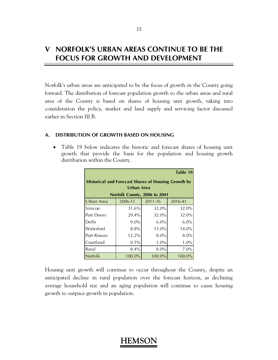# **V NORFOLK'S URBAN AREAS CONTINUE TO BE THE FOCUS FOR GROWTH AND DEVELOPMENT**

Norfolk's urban areas are anticipated to be the focus of growth in the County going forward. The distribution of forecast population growth to the urban areas and rural area of the County is based on shares of housing unit growth, taking into consideration the policy, market and land supply and servicing factor discussed earlier in Section III B.

### **A. DISTRIBUTION OF GROWTH BASED ON HOUSING**

• Table 19 below indicates the historic and forecast shares of housing unit growth that provide the basis for the population and housing growth distribution within the County.

|                                                            |                              |         | Table 19 |  |  |  |
|------------------------------------------------------------|------------------------------|---------|----------|--|--|--|
| <b>Historical and Forecast Shares of Housing Growth by</b> |                              |         |          |  |  |  |
|                                                            | Urban Area                   |         |          |  |  |  |
|                                                            | Norfolk County, 2006 to 2041 |         |          |  |  |  |
| Urban Area                                                 | 2006-11                      | 2011-16 | 2016-41  |  |  |  |
| Simcoe                                                     | 31.6%                        | 32.0%   | 32.0%    |  |  |  |
| Port Dover                                                 | 29.4%                        | 32.0%   | 32.0%    |  |  |  |
| Delhi                                                      | $9.0\%$                      | 6.0%    | 6.0%     |  |  |  |
| Waterford                                                  | 8.8%                         | 13.0%   | 14.0%    |  |  |  |
| Port Rowan                                                 | 12.2%                        | 8.0%    | 8.0%     |  |  |  |
| Courtland                                                  | 0.5%                         | 1.0%    | 1.0%     |  |  |  |
| Rural                                                      | 8.4%                         | 8.0%    | 7.0%     |  |  |  |
| Norfolk                                                    | 100.0%                       | 100.0%  | 100.0%   |  |  |  |

Housing unit growth will continue to occur throughout the County, despite an anticipated decline in rural population over the forecast horizon, as declining average household size and an aging population will continue to cause housing growth to outpace growth in population.

#### 35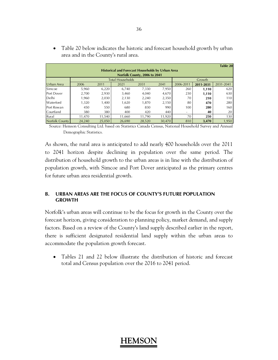|                       |                                                         |        |                         |                              |        |                          |           | <b>Table 20</b> |  |
|-----------------------|---------------------------------------------------------|--------|-------------------------|------------------------------|--------|--------------------------|-----------|-----------------|--|
|                       | <b>Historical and Forecast Households by Urban Area</b> |        |                         |                              |        |                          |           |                 |  |
|                       |                                                         |        |                         | Norfolk County, 2006 to 2041 |        |                          |           |                 |  |
|                       |                                                         |        | <b>Total Households</b> |                              |        |                          | Growth    |                 |  |
| Urban Area            | 2006                                                    | 2011   | 2021                    | 2031                         | 2041   | 2006-2011                | 2011-2031 | 2031-2041       |  |
| Simcoe                | 5,960                                                   | 6,220  | 6.740                   | 7,330                        | 7,950  | 260                      | 1,110     | 620             |  |
| <b>Port Dover</b>     | 2.700                                                   | 2,930  | 3,460                   | 4.040                        | 4,670  | 230                      | 1,110     | 630             |  |
| Delhi                 | .960                                                    | 2,030  | 2,130                   | 2,240                        | 2,350  | 70                       | 210       | 110             |  |
| Waterford             | 1,320                                                   | 1,400  | 1,620                   | 1.870                        | 2,150  | 80                       | 470       | 280             |  |
| Port Rowan            | 450                                                     | 550    | 680                     | 830                          | 990    | 100                      | 280       | 160             |  |
| Courtland             | 380                                                     | 380    | 400                     | 420                          | 440    | $\overline{\phantom{a}}$ | 40        | 20              |  |
| Rural                 | 11.470                                                  | 11.540 | 11.660                  | 11.790                       | 11.920 | 70                       | 250       | 130             |  |
| <b>Norfolk County</b> | 24.240                                                  | 25,050 | 26.690                  | 28.520                       | 30.470 | 810                      | 3,470     | 1,950           |  |

• Table 20 below indicates the historic and forecast household growth by urban area and in the County's rural area.

 Source: Hemson Consulting Ltd. based on Statistics Canada Census, National Household Survey and Annual Demographic Statistics.

As shown, the rural area is anticipated to add nearly 400 households over the 2011 to 2041 horizon despite declining in population over the same period. The distribution of household growth to the urban areas is in line with the distribution of population growth, with Simcoe and Port Dover anticipated as the primary centres for future urban area residential growth.

### **B. URBAN AREAS ARE THE FOCUS OF COUNTY'S FUTURE POPULATION GROWTH**

Norfolk's urban areas will continue to be the focus for growth in the County over the forecast horizon, giving consideration to planning policy, market demand, and supply factors. Based on a review of the County's land supply described earlier in the report, there is sufficient designated residential land supply within the urban areas to accommodate the population growth forecast.

• Tables 21 and 22 below illustrate the distribution of historic and forecast total and Census population over the 2016 to 2041 period.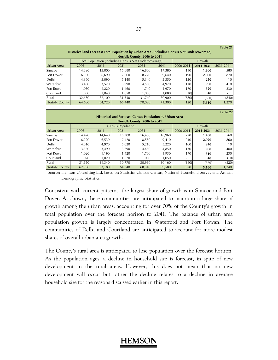|                       | Historical and Forecast Total Population by Urban Area (Including Census Net Undercoverage) |        |                                                       | Norfolk County, 2006 to 2041 |        |           |           | Table 21       |
|-----------------------|---------------------------------------------------------------------------------------------|--------|-------------------------------------------------------|------------------------------|--------|-----------|-----------|----------------|
|                       |                                                                                             |        | Total Population (Including Census Net Undercoverage) |                              |        |           | Growth    |                |
| Urban Area            | 2006                                                                                        | 2011   | 2021                                                  | 2031                         | 2041   | 2006-2011 | 2011-2031 | 2031-2041      |
| Simcoe                | 14.890                                                                                      | 15.000 | 15.680                                                | 16.800                       | 17.380 | 110       | 1,800     | 580            |
| Port Dover            | 6.500                                                                                       | 6,690  | 7.600                                                 | 8.770                        | 9.640  | 190       | 2,080     | 870            |
| Delhi                 | 4,960                                                                                       | 5,090  | 5.140                                                 | 5,340                        | 5,350  | 130       | 250       | 10             |
| Waterford             | 3.460                                                                                       | 3,570  | 3,990                                                 | 4.560                        | 4,970  | 110       | 990       | 410            |
| Port Rowan            | 1.050                                                                                       | 1,220  | 1.460                                                 | 1.740                        | 1,970  | 170       | 520       | 230            |
| Courtland             | 1.050                                                                                       | 1.040  | 1.050                                                 | 1.080                        | 1.080  | (10)      | 40        | $\overline{a}$ |
| Rural                 | 32,680                                                                                      | 32.100 | 31,530                                                | 31,740                       | 30,900 | (580)     | (360)     | (840)          |
| <b>Norfolk County</b> | 64.600                                                                                      | 64.720 | 66,440                                                | 70.030                       | 71.300 | 120       | 5,310     | 1,270          |

|                              |                                                                |        |        |        |        |                 |           | Table 22  |
|------------------------------|----------------------------------------------------------------|--------|--------|--------|--------|-----------------|-----------|-----------|
|                              | <b>Historical and Forecast Census Population by Urban Area</b> |        |        |        |        |                 |           |           |
| Norfolk County, 2006 to 2041 |                                                                |        |        |        |        |                 |           |           |
|                              | <b>Census Population</b>                                       |        |        |        | Growth |                 |           |           |
| Urban Area                   | 2006                                                           | 2011   | 2021   | 2031   | 2041   | 2006-2011       | 2011-2031 | 2031-2041 |
| Simcoe                       | 14.420                                                         | 14.640 | 15,300 | 16.400 | 16,960 | 220             | 1,760     | 560       |
| <b>Port Dover</b>            | 6,290                                                          | 6,530  | 7,420  | 8.550  | 9,410  | 240             | 2,020     | 860       |
| Delhi                        | 4.810                                                          | 4.970  | 5,020  | 5.210  | 5,220  | 160             | 240       | 10        |
| Waterford                    | 3.360                                                          | 3,490  | 3,890  | 4.450  | 4.850  | 130             | 960       | 400       |
| Port Rowan                   | 1,020                                                          | 1,190  | 1,420  | 1.700  | 1,930  | 170             | 510       | 230       |
| Courtland                    | 1.020                                                          | 1,020  | 1,020  | 1.060  | 1.050  | $\qquad \qquad$ | 40        | (10)      |
| Rural                        | 31,650                                                         | 31,340 | 30,770 | 30,980 | 30,160 | (310)           | (360)     | (820)     |
| <b>Norfolk County</b>        | 62,560                                                         | 63,180 | 64.840 | 68.340 | 69,580 | 620             | 5,160     | 1,240     |

 Source: Hemson Consulting Ltd. based on Statistics Canada Census, National Household Survey and Annual Demographic Statistics.

Consistent with current patterns, the largest share of growth is in Simcoe and Port Dover. As shown, these communities are anticipated to maintain a large share of growth among the urban areas, accounting for over 70% of the County's growth in total population over the forecast horizon to 2041. The balance of urban area population growth is largely concentrated in Waterford and Port Rowan. The communities of Delhi and Courtland are anticipated to account for more modest shares of overall urban area growth.

The County's rural area is anticipated to lose population over the forecast horizon. As the population ages, a decline in household size is forecast, in spite of new development in the rural areas. However, this does not mean that no new development will occur but rather the decline relates to a decline in average household size for the reasons discussed earlier in this report.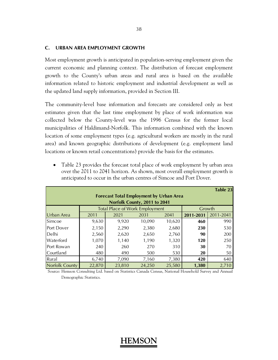#### **C. URBAN AREA EMPLOYMENT GROWTH**

Most employment growth is anticipated in population-serving employment given the current economic and planning context. The distribution of forecast employment growth to the County's urban areas and rural area is based on the available information related to historic employment and industrial development as well as the updated land supply information, provided in Section III.

The community-level base information and forecasts are considered only as best estimates given that the last time employment by place of work information was collected below the County-level was the 1996 Census for the former local municipalities of Haldimand-Norfolk. This information combined with the known location of some employment types (e.g. agricultural workers are mostly in the rural area) and known geographic distributions of development (e.g. employment land locations or known retail concentrations) provide the basis for the estimates.

• Table 23 provides the forecast total place of work employment by urban area over the 2011 to 2041 horizon. As shown, most overall employment growth is anticipated to occur in the urban centres of Simcoe and Port Dover.

|                                                                                |        |                                                 |        |        |           | <b>Table 23</b> |  |  |
|--------------------------------------------------------------------------------|--------|-------------------------------------------------|--------|--------|-----------|-----------------|--|--|
| <b>Forecast Total Employment by Urban Area</b><br>Norfolk County, 2011 to 2041 |        |                                                 |        |        |           |                 |  |  |
|                                                                                |        | <b>Total Place of Work Employment</b><br>Growth |        |        |           |                 |  |  |
| Urban Area                                                                     | 2011   | 2021                                            | 2031   | 2041   | 2011-2031 | 2011-2041       |  |  |
| Simcoe                                                                         | 9,630  | 9,920                                           | 10,090 | 10,620 | 460       | 990             |  |  |
| Port Dover                                                                     | 2,150  | 2,290                                           | 2,380  | 2,680  | 230       | 530             |  |  |
| Delhi                                                                          | 2,560  | 2,620                                           | 2,650  | 2,760  | 90        | 200             |  |  |
| Waterford                                                                      | 1,070  | 1,140                                           | 1,190  | 1,320  | 120       | 250             |  |  |
| Port Rowan                                                                     | 240    | 260                                             | 270    | 310    | 30        | 70              |  |  |
| <b>Courtland</b>                                                               | 480    | 490                                             | 500    | 530    | 20        | 50              |  |  |
| Rural                                                                          | 6,740  | 7,090                                           | 7,160  | 7,380  | 420       | 640             |  |  |
| <b>Norfolk County</b>                                                          | 22,870 | 23,810                                          | 24,250 | 25,580 | 1,380     | 2,710           |  |  |

 Source: Hemson Consulting Ltd. based on Statistics Canada Census, National Household Survey and Annual Demographic Statistics.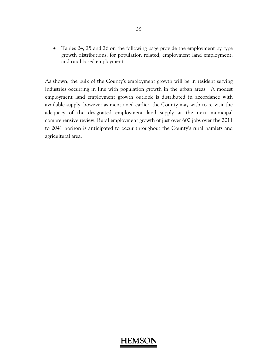• Tables 24, 25 and 26 on the following page provide the employment by type growth distributions, for population related, employment land employment, and rural based employment.

As shown, the bulk of the County's employment growth will be in resident serving industries occurring in line with population growth in the urban areas. A modest employment land employment growth outlook is distributed in accordance with available supply, however as mentioned earlier, the County may wish to re-visit the adequacy of the designated employment land supply at the next municipal comprehensive review. Rural employment growth of just over 600 jobs over the 2011 to 2041 horizon is anticipated to occur throughout the County's rural hamlets and agricultural area.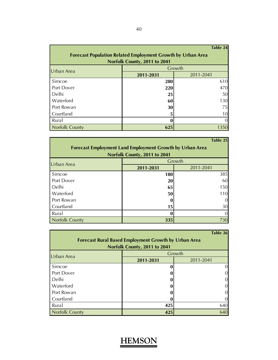|                                                                    |            | Table 24  |  |  |  |  |  |
|--------------------------------------------------------------------|------------|-----------|--|--|--|--|--|
| <b>Forecast Population Related Employment Growth by Urban Area</b> |            |           |  |  |  |  |  |
| Norfolk County, 2011 to 2041                                       |            |           |  |  |  |  |  |
| Urban Area                                                         |            | Growth    |  |  |  |  |  |
|                                                                    | 2011-2031  | 2011-2041 |  |  |  |  |  |
| Simcoe                                                             | 280        | 610       |  |  |  |  |  |
| Port Dover                                                         | <b>220</b> | 470       |  |  |  |  |  |
| Delhi                                                              | 25         | 50        |  |  |  |  |  |
| Waterford                                                          | 60         | 130       |  |  |  |  |  |
| Port Rowan                                                         | 30         | 75        |  |  |  |  |  |
| Courtland                                                          | 5          | 10        |  |  |  |  |  |
| Rural                                                              | O          |           |  |  |  |  |  |
| <b>Norfolk County</b>                                              | 625        | 1350      |  |  |  |  |  |

|                                                                 |                              | Table 25  |  |  |  |  |  |
|-----------------------------------------------------------------|------------------------------|-----------|--|--|--|--|--|
| <b>Forecast Employment Land Employment Growth by Urban Area</b> |                              |           |  |  |  |  |  |
|                                                                 | Norfolk County, 2011 to 2041 |           |  |  |  |  |  |
| Urban Area                                                      |                              | Growth    |  |  |  |  |  |
|                                                                 | 2011-2031                    | 2011-2041 |  |  |  |  |  |
| Simcoe                                                          | <b>180</b>                   | 385       |  |  |  |  |  |
| Port Dover                                                      | 20                           | 60        |  |  |  |  |  |
| Delhi                                                           | 65                           | 150       |  |  |  |  |  |
| Waterford                                                       | 50                           | 110       |  |  |  |  |  |
| Port Rowan                                                      |                              |           |  |  |  |  |  |
| Courtland                                                       | 15                           | 30        |  |  |  |  |  |
| Rural                                                           |                              |           |  |  |  |  |  |
| <b>Norfolk County</b>                                           | 335                          | 730       |  |  |  |  |  |

|                                                             |                              | Table 26  |  |  |  |  |  |
|-------------------------------------------------------------|------------------------------|-----------|--|--|--|--|--|
| <b>Forecast Rural Based Employment Growth by Urban Area</b> |                              |           |  |  |  |  |  |
|                                                             | Norfolk County, 2011 to 2041 |           |  |  |  |  |  |
| Urban Area                                                  | Growth                       |           |  |  |  |  |  |
|                                                             | 2011-2031                    | 2011-2041 |  |  |  |  |  |
| Simcoe                                                      |                              | $\Omega$  |  |  |  |  |  |
| Port Dover                                                  |                              |           |  |  |  |  |  |
| Delhi                                                       |                              |           |  |  |  |  |  |
| Waterford                                                   |                              |           |  |  |  |  |  |
| Port Rowan                                                  |                              |           |  |  |  |  |  |
| Courtland                                                   |                              |           |  |  |  |  |  |
| Rural                                                       | 425                          | 640       |  |  |  |  |  |
| <b>Norfolk County</b>                                       | 425                          | 640       |  |  |  |  |  |